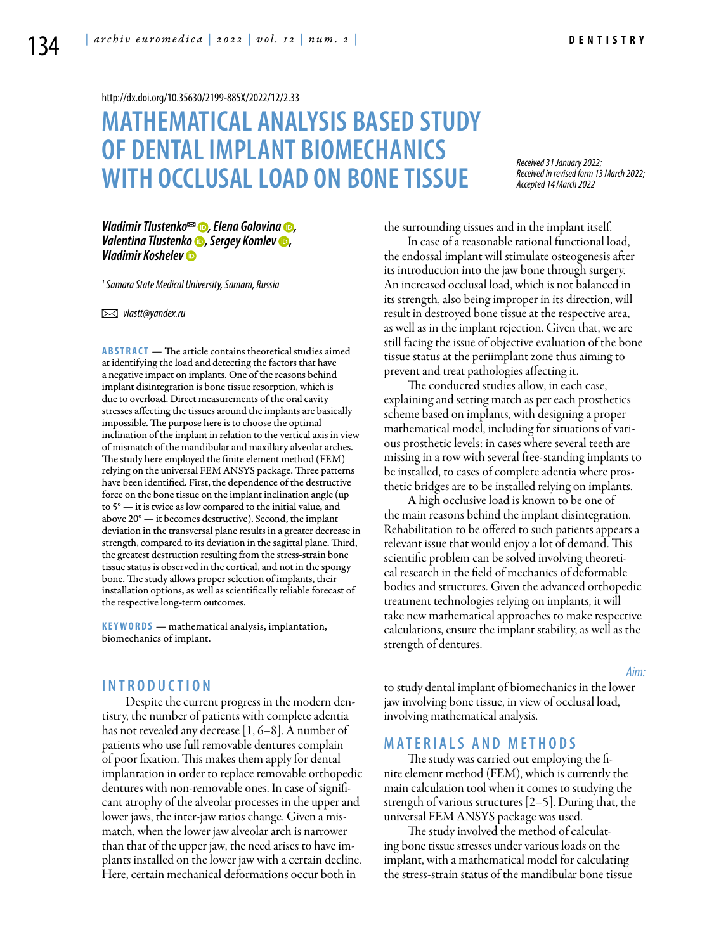<http://dx.doi.org/10.35630/2199-885X/2022/12/2.33>

# **MATHEMATICAL ANALYSIS BASED STUDY OF DENTAL IMPLANT BIOMECHANICS WITH OCCLUSAL LOAD ON BONETISSUE**

*Received 31 January 2022; Received in revised form 13 March 2022; Accepted 14 March 2022*

*[Vladimir Tlustenko](https://orcid.org/0000-0002-7429-9135)*<sup>∞</sup> ●, [Elena Golovina](https://orcid.org/0000-0001-5100-7630) ●, *[Valentina Tlustenko](https://orcid.org/0000-0002-2756-5277) , [Sergey Komlev](https://orcid.org/0000-0001-6491-4694) , [Vladimir Koshelev](https://orcid.org/0000-0001-8479-0342)*

*1 Samara State Medical University, Samara, Russia* 

 *vlastt@yandex.ru*

**Abstract** — The article contains theoretical studies aimed at identifying the load and detecting the factors that have a negative impact on implants. One of the reasons behind implant disintegration is bone tissue resorption, which is due to overload. Direct measurements of the oral cavity stresses affecting the tissues around the implants are basically impossible. The purpose here is to choose the optimal inclination of the implant in relation to the vertical axis in view of mismatch of the mandibular and maxillary alveolar arches. The study here employed the finite element method (FEM) relying on the universal FEM ANSYS package. Three patterns have been identified. First, the dependence of the destructive force on the bone tissue on the implant inclination angle (up to 5° — it is twice as low compared to the initial value, and above 20° — it becomes destructive). Second, the implant deviation in the transversal plane results in a greater decrease in strength, compared to its deviation in the sagittal plane. Third, the greatest destruction resulting from the stress-strain bone tissue status is observed in the cortical, and not in the spongy bone. The study allows proper selection of implants, their installation options, as well as scientifically reliable forecast of the respective long-term outcomes.

**K eywords** — mathematical analysis, implantation, biomechanics of implant.

# **I n t r o ducti o n**

Despite the current progress in the modern dentistry, the number of patients with complete adentia has not revealed any decrease [1, 6–8]. A number of patients who use full removable dentures complain of poor fixation. This makes them apply for dental implantation in order to replace removable orthopedic dentures with non-removable ones. In case of significant atrophy of the alveolar processes in the upper and lower jaws, the inter-jaw ratios change. Given a mismatch, when the lower jaw alveolar arch is narrower than that of the upper jaw, the need arises to have implants installed on the lower jaw with a certain decline. Here, certain mechanical deformations occur both in

the surrounding tissues and in the implant itself.

In case of a reasonable rational functional load, the endossal implant will stimulate osteogenesis after its introduction into the jaw bone through surgery. An increased occlusal load, which is not balanced in its strength, also being improper in its direction, will result in destroyed bone tissue at the respective area, as well as in the implant rejection. Given that, we are still facing the issue of objective evaluation of the bone tissue status at the periimplant zone thus aiming to prevent and treat pathologies affecting it.

The conducted studies allow, in each case, explaining and setting match as per each prosthetics scheme based on implants, with designing a proper mathematical model, including for situations of various prosthetic levels: in cases where several teeth are missing in a row with several free-standing implants to be installed, to cases of complete adentia where prosthetic bridges are to be installed relying on implants.

A high occlusive load is known to be one of the main reasons behind the implant disintegration. Rehabilitation to be offered to such patients appears a relevant issue that would enjoy a lot of demand. This scientific problem can be solved involving theoretical research in the field of mechanics of deformable bodies and structures. Given the advanced orthopedic treatment technologies relying on implants, it will take new mathematical approaches to make respective calculations, ensure the implant stability, as well as the strength of dentures.

#### *Aim:*

to study dental implant of biomechanics in the lower jaw involving bone tissue, in view of occlusal load, involving mathematical analysis.

# **M ATE R I A LS A N D MET H O D S**

The study was carried out employing the finite element method (FEM), which is currently the main calculation tool when it comes to studying the strength of various structures [2–5]. During that, the universal FEM ANSYS package was used.

The study involved the method of calculating bone tissue stresses under various loads on the implant, with a mathematical model for calculating the stress-strain status of the mandibular bone tissue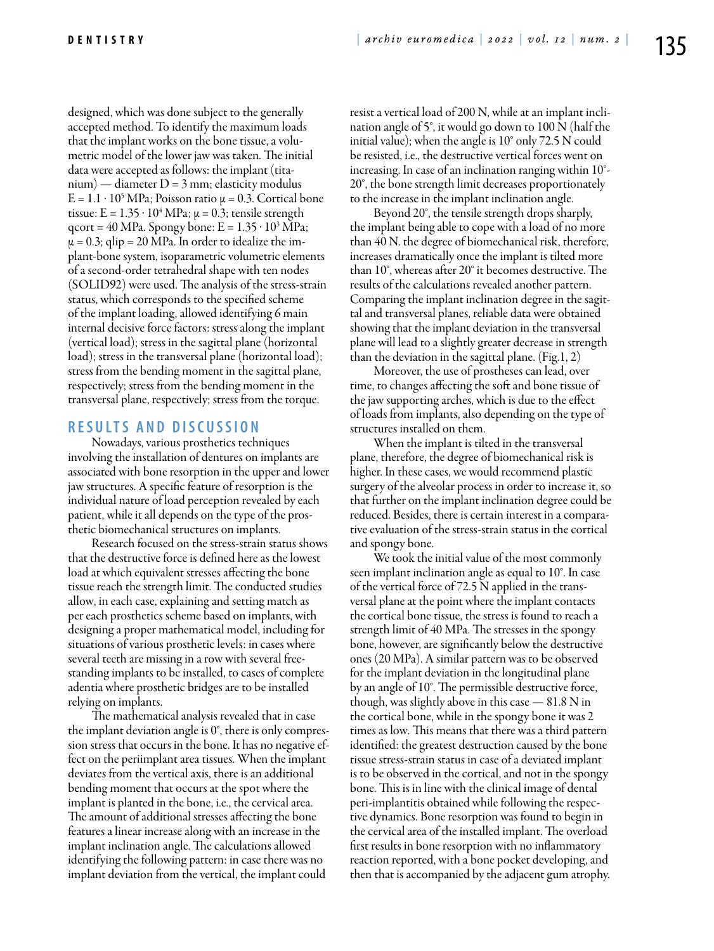designed, which was done subject to the generally accepted method. To identify the maximum loads that the implant works on the bone tissue, a volumetric model of the lower jaw was taken. The initial data were accepted as follows: the implant (titanium) — diameter D = 3 mm; elasticity modulus  $E = 1.1 \cdot 10^5 \,\text{MPa}$ ; Poisson ratio  $\mu = 0.3$ . Cortical bone tissue: E =  $1.35 \cdot 10^4$  MPa;  $\mu$  = 0.3; tensile strength qcort = 40 MPa. Spongy bone:  $E = 1.35 \cdot 10^3$  MPa;  $\mu = 0.3$ ; qlip = 20 MPa. In order to idealize the implant-bone system, isoparametric volumetric elements of a second-order tetrahedral shape with ten nodes (SOLID92) were used. The analysis of the stress-strain status, which corresponds to the specified scheme of the implant loading, allowed identifying 6 main internal decisive force factors: stress along the implant (vertical load); stress in the sagittal plane (horizontal load); stress in the transversal plane (horizontal load); stress from the bending moment in the sagittal plane, respectively; stress from the bending moment in the transversal plane, respectively; stress from the torque.

## **R ES U LTS A N D D ISC U SSI ON**

Nowadays, various prosthetics techniques involving the installation of dentures on implants are associated with bone resorption in the upper and lower jaw structures. A specific feature of resorption is the individual nature of load perception revealed by each patient, while it all depends on the type of the prosthetic biomechanical structures on implants.

Research focused on the stress-strain status shows that the destructive force is defined here as the lowest load at which equivalent stresses affecting the bone tissue reach the strength limit. The conducted studies allow, in each case, explaining and setting match as per each prosthetics scheme based on implants, with designing a proper mathematical model, including for situations of various prosthetic levels: in cases where several teeth are missing in a row with several freestanding implants to be installed, to cases of complete adentia where prosthetic bridges are to be installed relying on implants.

The mathematical analysis revealed that in case the implant deviation angle is  $0^\circ$ , there is only compression stress that occurs in the bone. It has no negative effect on the periimplant area tissues. When the implant deviates from the vertical axis, there is an additional bending moment that occurs at the spot where the implant is planted in the bone, i.e., the cervical area. The amount of additional stresses affecting the bone features a linear increase along with an increase in the implant inclination angle. The calculations allowed identifying the following pattern: in case there was no implant deviation from the vertical, the implant could

resist a vertical load of 200 N, while at an implant inclination angle of 5°, it would go down to 100 N (half the initial value); when the angle is 10° only 72.5 N could be resisted, i.e., the destructive vertical forces went on increasing. In case of an inclination ranging within 10°- 20°, the bone strength limit decreases proportionately to the increase in the implant inclination angle.

Beyond 20°, the tensile strength drops sharply, the implant being able to cope with a load of no more than 40 N. the degree of biomechanical risk, therefore, increases dramatically once the implant is tilted more than 10°, whereas after 20° it becomes destructive. The results of the calculations revealed another pattern. Comparing the implant inclination degree in the sagittal and transversal planes, reliable data were obtained showing that the implant deviation in the transversal plane will lead to a slightly greater decrease in strength than the deviation in the sagittal plane. (Fig.1, 2)

Moreover, the use of prostheses can lead, over time, to changes affecting the soft and bone tissue of the jaw supporting arches, which is due to the effect of loads from implants, also depending on the type of structures installed on them.

When the implant is tilted in the transversal plane, therefore, the degree of biomechanical risk is higher. In these cases, we would recommend plastic surgery of the alveolar process in order to increase it, so that further on the implant inclination degree could be reduced. Besides, there is certain interest in a comparative evaluation of the stress-strain status in the cortical and spongy bone.

We took the initial value of the most commonly seen implant inclination angle as equal to 10°. In case of the vertical force of 72.5 N applied in the transversal plane at the point where the implant contacts the cortical bone tissue, the stress is found to reach a strength limit of 40 MPa. The stresses in the spongy bone, however, are significantly below the destructive ones (20 MPa). A similar pattern was to be observed for the implant deviation in the longitudinal plane by an angle of 10°. The permissible destructive force, though, was slightly above in this case  $-81.8$  N in the cortical bone, while in the spongy bone it was 2 times as low. This means that there was a third pattern identified: the greatest destruction caused by the bone tissue stress-strain status in case of a deviated implant is to be observed in the cortical, and not in the spongy bone. This is in line with the clinical image of dental peri-implantitis obtained while following the respective dynamics. Bone resorption was found to begin in the cervical area of the installed implant. The overload first results in bone resorption with no inflammatory reaction reported, with a bone pocket developing, and then that is accompanied by the adjacent gum atrophy.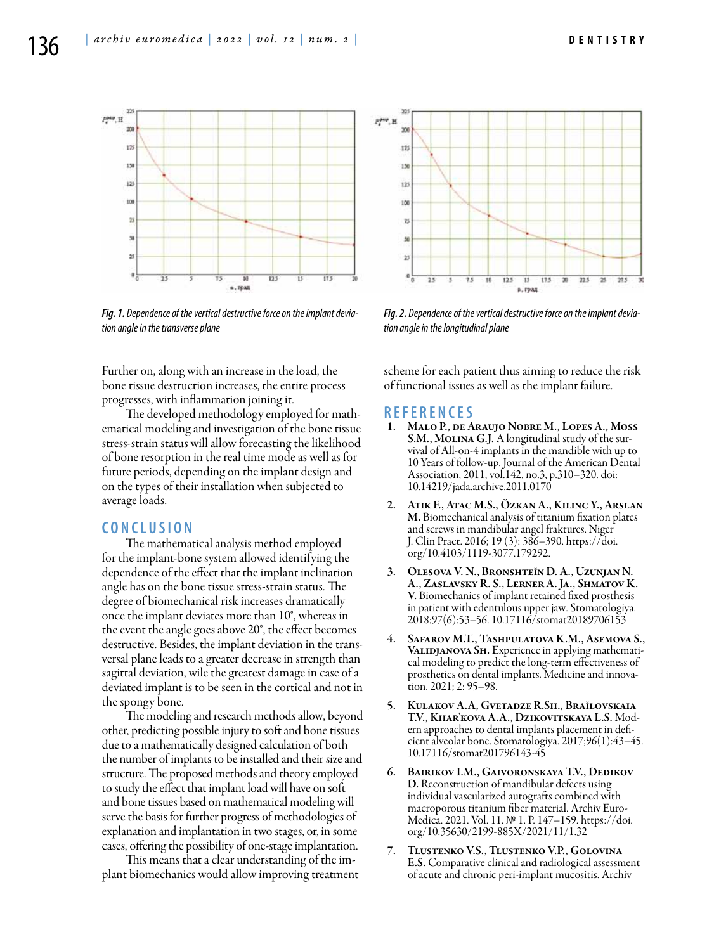

*Fig. 1. Dependence of the vertical destructive force on the implant deviation angle in the transverse plane*

PMP, H tt. 18  $12$ 100 Y, ù ż  $^{0}$ <sub>0</sub>  $\overline{25}$  $75$ 10  $12.5$  $13$  $17.5$ 20 22.5  $\overline{\mathbf{z}}$  $27.5$ в, град

*Fig. 2. Dependence of the vertical destructive force on the implant deviation angle in the longitudinal plane*

Further on, along with an increase in the load, the bone tissue destruction increases, the entire process progresses, with inflammation joining it.

The developed methodology employed for mathematical modeling and investigation of the bone tissue stress-strain status will allow forecasting the likelihood of bone resorption in the real time mode as well as for future periods, depending on the implant design and on the types of their installation when subjected to average loads.

# **C ON C L U SI ON**

The mathematical analysis method employed for the implant-bone system allowed identifying the dependence of the effect that the implant inclination angle has on the bone tissue stress-strain status. The degree of biomechanical risk increases dramatically once the implant deviates more than 10°, whereas in the event the angle goes above 20°, the effect becomes destructive. Besides, the implant deviation in the transversal plane leads to a greater decrease in strength than sagittal deviation, wile the greatest damage in case of a deviated implant is to be seen in the cortical and not in the spongy bone.

The modeling and research methods allow, beyond other, predicting possible injury to soft and bone tissues due to a mathematically designed calculation of both the number of implants to be installed and their size and structure. The proposed methods and theory employed to study the effect that implant load will have on soft and bone tissues based on mathematical modeling will serve the basis for further progress of methodologies of explanation and implantation in two stages, or, in some cases, offering the possibility of one-stage implantation.

This means that a clear understanding of the implant biomechanics would allow improving treatment scheme for each patient thus aiming to reduce the risk of functional issues as well as the implant failure.

### **R EFE R EN CES**

- 1. Malo P., de Araujo Nobre M., Lopes A., Moss S.M., MOLINA G.J. A longitudinal study of the survival of All-on-4 implants in the mandible with up to 10 Years of follow-up. Journal of the American Dental Association, 2011, vol.142, no.3, p.310–320. doi: 10.14219/jada.archive.2011.0170
- 2. Atik F., Atac M.S., Özkan A., Kilinc Y., Arslan M. Biomechanical analysis of titanium fixation plates and screws in mandibular angel fraktures. Niger J. Clin Pract. 2016; 19 (3): 386–390. https://doi. org/10.4103/1119-3077.179292.
- 3. Olesova V. N., Bronshteĭn D. A., Uzunjan N. A., Zaslavsky R. S., Lerner A. Ja., Shmatov K. V. Biomechanics of implant retained fixed prosthesis in patient with edentulous upper jaw. Stomatologiya. 2018;97(6):53–56. 10.17116/stomat20189706153
- SAFAROV M.T., TASHPULATOVA K.M., ASEMOVA S., VALIDJANOVA SH. Experience in applying mathematical modeling to predict the long-term effectiveness of prosthetics on dental implants. Medicine and innovation. 2021; 2: 95–98.
- 5. Kulakov A.A, Gvetadze R.Sh., Braĭlovskaia T.V., Khar'kova A.A., Dzikovitskaya L.S. Modern approaches to dental implants placement in deficient alveolar bone. Stomatologiya. 2017;96(1):43–45. 10.17116/stomat201796143-45
- 6. Bairikov I.M., Gaivoronskaya T.V., Dedikov D. Reconstruction of mandibular defects using individual vascularized autografts combined with Medica. 2021. Vol. 11. № 1. P. 147–159. https://doi. org/10.35630/2199-885X/2021/11/1.32
- 7. Tlustenko V.S., Tlustenko V.P., Golovina E.S. Comparative clinical and radiological assessment of acute and chronic peri-implant mucositis. Archiv